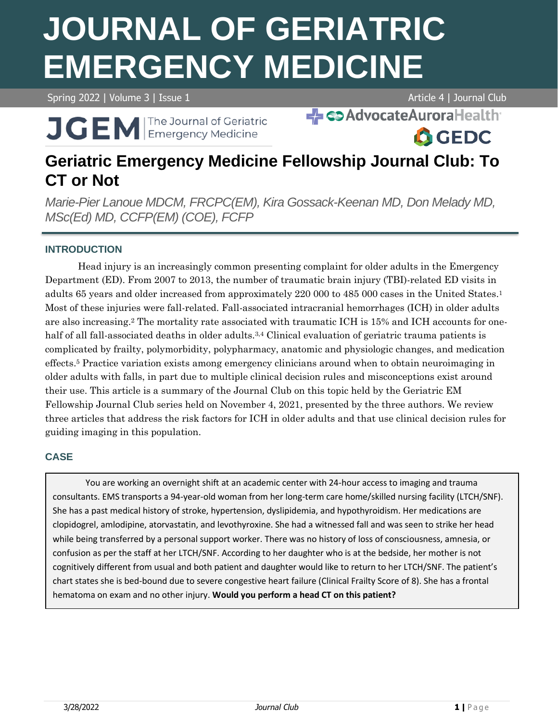# **JOURNAL OF GERIATRIC EMERGENCY MEDICINE**

Spring 2022 | Volume 3 | Issue 1 Article 4 | Journal Club

**A**GEDC

J GEM The Journal of Geriatric

**- Co Advocate Aurora Health** 

# **Geriatric Emergency Medicine Fellowship Journal Club: To CT or Not**

*Marie-Pier Lanoue MDCM, FRCPC(EM), Kira Gossack-Keenan MD, Don Melady MD, MSc(Ed) MD, CCFP(EM) (COE), FCFP*

# **INTRODUCTION**

Head injury is an increasingly common presenting complaint for older adults in the Emergency Department (ED). From 2007 to 2013, the number of traumatic brain injury (TBI)-related ED visits in adults 65 years and older increased from approximately 220 000 to 485 000 cases in the United States. 1 Most of these injuries were fall-related. Fall-associated intracranial hemorrhages (ICH) in older adults are also increasing. <sup>2</sup> The mortality rate associated with traumatic ICH is 15% and ICH accounts for onehalf of all fall-associated deaths in older adults.<sup>3,4</sup> Clinical evaluation of geriatric trauma patients is complicated by frailty, polymorbidity, polypharmacy, anatomic and physiologic changes, and medication effects. <sup>5</sup> Practice variation exists among emergency clinicians around when to obtain neuroimaging in older adults with falls, in part due to multiple clinical decision rules and misconceptions exist around their use. This article is a summary of the Journal Club on this topic held by the Geriatric EM Fellowship Journal Club series held on November 4, 2021, presented by the three authors. We review three articles that address the risk factors for ICH in older adults and that use clinical decision rules for guiding imaging in this population.

# **CASE**

You are working an overnight shift at an academic center with 24-hour access to imaging and trauma consultants. EMS transports a 94-year-old woman from her long-term care home/skilled nursing facility (LTCH/SNF). She has a past medical history of stroke, hypertension, dyslipidemia, and hypothyroidism. Her medications are clopidogrel, amlodipine, atorvastatin, and levothyroxine. She had a witnessed fall and was seen to strike her head while being transferred by a personal support worker. There was no history of loss of consciousness, amnesia, or confusion as per the staff at her LTCH/SNF. According to her daughter who is at the bedside, her mother is not cognitively different from usual and both patient and daughter would like to return to her LTCH/SNF. The patient's chart states she is bed-bound due to severe congestive heart failure (Clinical Frailty Score of 8). She has a frontal hematoma on exam and no other injury. **Would you perform a head CT on this patient?**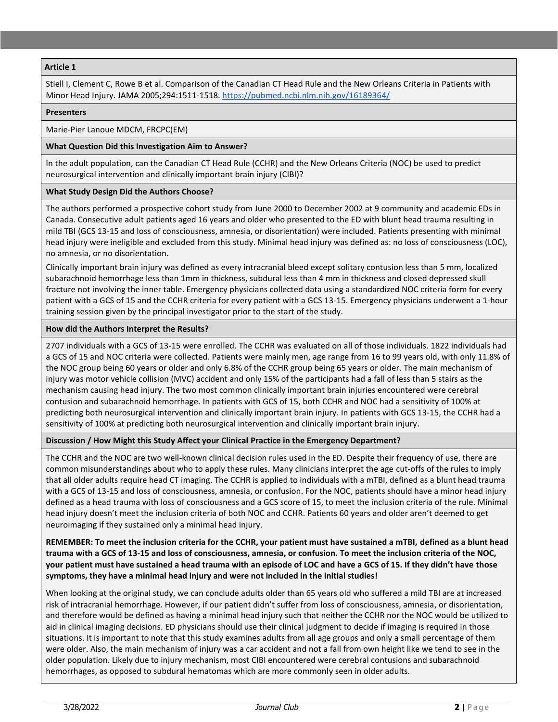#### **Article 1**

Stiell I, Clement C, Rowe B et al. Comparison of the Canadian CT Head Rule and the New Orleans Criteria in Patients with Minor Head Injury. JAMA 2005;294:1511-1518. <https://pubmed.ncbi.nlm.nih.gov/16189364/>

#### **Presenters**

#### Marie-Pier Lanoue MDCM, FRCPC(EM)

#### **What Question Did this Investigation Aim to Answer?**

In the adult population, can the Canadian CT Head Rule (CCHR) and the New Orleans Criteria (NOC) be used to predict neurosurgical intervention and clinically important brain injury (CIBI)?

#### **What Study Design Did the Authors Choose?**

The authors performed a prospective cohort study from June 2000 to December 2002 at 9 community and academic EDs in Canada. Consecutive adult patients aged 16 years and older who presented to the ED with blunt head trauma resulting in mild TBI (GCS 13-15 and loss of consciousness, amnesia, or disorientation) were included. Patients presenting with minimal head injury were ineligible and excluded from this study. Minimal head injury was defined as: no loss of consciousness (LOC), no amnesia, or no disorientation.

Clinically important brain injury was defined as every intracranial bleed except solitary contusion less than 5 mm, localized subarachnoid hemorrhage less than 1mm in thickness, subdural less than 4 mm in thickness and closed depressed skull fracture not involving the inner table. Emergency physicians collected data using a standardized NOC criteria form for every patient with a GCS of 15 and the CCHR criteria for every patient with a GCS 13-15. Emergency physicians underwent a 1-hour training session given by the principal investigator prior to the start of the study.

#### **How did the Authors Interpret the Results?**

2707 individuals with a GCS of 13-15 were enrolled. The CCHR was evaluated on all of those individuals. 1822 individuals had a GCS of 15 and NOC criteria were collected. Patients were mainly men, age range from 16 to 99 years old, with only 11.8% of the NOC group being 60 years or older and only 6.8% of the CCHR group being 65 years or older. The main mechanism of injury was motor vehicle collision (MVC) accident and only 15% of the participants had a fall of less than 5 stairs as the mechanism causing head injury. The two most common clinically important brain injuries encountered were cerebral contusion and subarachnoid hemorrhage. In patients with GCS of 15, both CCHR and NOC had a sensitivity of 100% at predicting both neurosurgical intervention and clinically important brain injury. In patients with GCS 13-15, the CCHR had a sensitivity of 100% at predicting both neurosurgical intervention and clinically important brain injury.

#### **Discussion / How Might this Study Affect your Clinical Practice in the Emergency Department?**

The CCHR and the NOC are two well-known clinical decision rules used in the ED. Despite their frequency of use, there are common misunderstandings about who to apply these rules. Many clinicians interpret the age cut-offs of the rules to imply that all older adults require head CT imaging. The CCHR is applied to individuals with a mTBI, defined as a blunt head trauma with a GCS of 13-15 and loss of consciousness, amnesia, or confusion. For the NOC, patients should have a minor head injury defined as a head trauma with loss of consciousness and a GCS score of 15, to meet the inclusion criteria of the rule. Minimal head injury doesn't meet the inclusion criteria of both NOC and CCHR. Patients 60 years and older aren't deemed to get neuroimaging if they sustained only a minimal head injury.

#### **REMEMBER: To meet the inclusion criteria for the CCHR, your patient must have sustained a mTBI, defined as a blunt head trauma with a GCS of 13-15 and loss of consciousness, amnesia, or confusion. To meet the inclusion criteria of the NOC, your patient must have sustained a head trauma with an episode of LOC and have a GCS of 15. If they didn't have those symptoms, they have a minimal head injury and were not included in the initial studies!**

When looking at the original study, we can conclude adults older than 65 years old who suffered a mild TBI are at increased risk of intracranial hemorrhage. However, if our patient didn't suffer from loss of consciousness, amnesia, or disorientation, and therefore would be defined as having a minimal head injury such that neither the CCHR nor the NOC would be utilized to aid in clinical imaging decisions. ED physicians should use their clinical judgment to decide if imaging is required in those situations. It is important to note that this study examines adults from all age groups and only a small percentage of them were older. Also, the main mechanism of injury was a car accident and not a fall from own height like we tend to see in the older population. Likely due to injury mechanism, most CIBI encountered were cerebral contusions and subarachnoid hemorrhages, as opposed to subdural hematomas which are more commonly seen in older adults.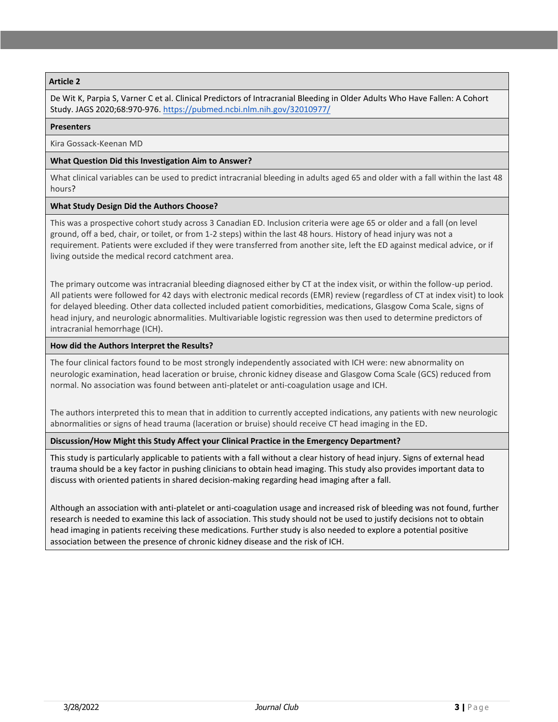#### **Article 2**

De Wit K, Parpia S, Varner C et al. Clinical Predictors of Intracranial Bleeding in Older Adults Who Have Fallen: A Cohort Study. JAGS 2020;68:970-976.<https://pubmed.ncbi.nlm.nih.gov/32010977/>

#### **Presenters**

Kira Gossack-Keenan MD

#### **What Question Did this Investigation Aim to Answer?**

What clinical variables can be used to predict intracranial bleeding in adults aged 65 and older with a fall within the last 48 hours?

#### **What Study Design Did the Authors Choose?**

This was a prospective cohort study across 3 Canadian ED. Inclusion criteria were age 65 or older and a fall (on level ground, off a bed, chair, or toilet, or from 1-2 steps) within the last 48 hours. History of head injury was not a requirement. Patients were excluded if they were transferred from another site, left the ED against medical advice, or if living outside the medical record catchment area.

The primary outcome was intracranial bleeding diagnosed either by CT at the index visit, or within the follow-up period. All patients were followed for 42 days with electronic medical records (EMR) review (regardless of CT at index visit) to look for delayed bleeding. Other data collected included patient comorbidities, medications, Glasgow Coma Scale, signs of head injury, and neurologic abnormalities. Multivariable logistic regression was then used to determine predictors of intracranial hemorrhage (ICH).

#### **How did the Authors Interpret the Results?**

The four clinical factors found to be most strongly independently associated with ICH were: new abnormality on neurologic examination, head laceration or bruise, chronic kidney disease and Glasgow Coma Scale (GCS) reduced from normal. No association was found between anti-platelet or anti-coagulation usage and ICH.

The authors interpreted this to mean that in addition to currently accepted indications, any patients with new neurologic abnormalities or signs of head trauma (laceration or bruise) should receive CT head imaging in the ED.

#### **Discussion/How Might this Study Affect your Clinical Practice in the Emergency Department?**

This study is particularly applicable to patients with a fall without a clear history of head injury. Signs of external head trauma should be a key factor in pushing clinicians to obtain head imaging. This study also provides important data to discuss with oriented patients in shared decision-making regarding head imaging after a fall.

Although an association with anti-platelet or anti-coagulation usage and increased risk of bleeding was not found, further research is needed to examine this lack of association. This study should not be used to justify decisions not to obtain head imaging in patients receiving these medications. Further study is also needed to explore a potential positive association between the presence of chronic kidney disease and the risk of ICH.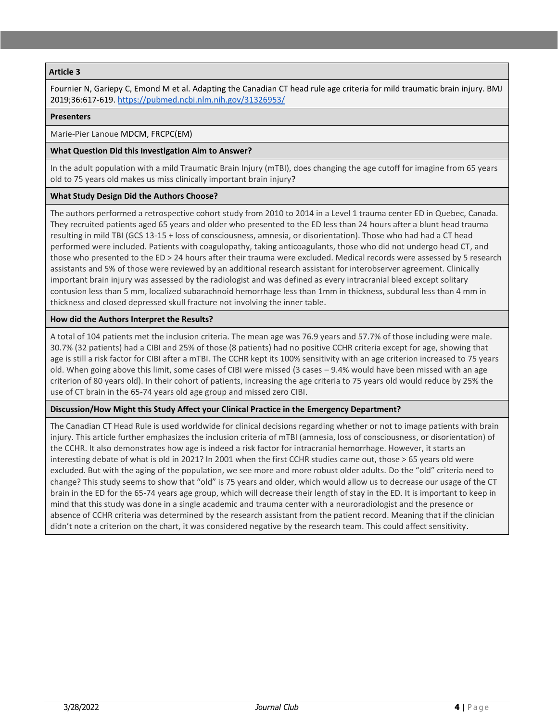#### **Article 3**

Fournier N, Gariepy C, Emond M et al. Adapting the Canadian CT head rule age criteria for mild traumatic brain injury. BMJ 2019;36:617-619.<https://pubmed.ncbi.nlm.nih.gov/31326953/>

#### **Presenters**

#### Marie-Pier Lanoue MDCM, FRCPC(EM)

#### **What Question Did this Investigation Aim to Answer?**

In the adult population with a mild Traumatic Brain Injury (mTBI), does changing the age cutoff for imagine from 65 years old to 75 years old makes us miss clinically important brain injury?

#### **What Study Design Did the Authors Choose?**

The authors performed a retrospective cohort study from 2010 to 2014 in a Level 1 trauma center ED in Quebec, Canada. They recruited patients aged 65 years and older who presented to the ED less than 24 hours after a blunt head trauma resulting in mild TBI (GCS 13-15 + loss of consciousness, amnesia, or disorientation). Those who had had a CT head performed were included. Patients with coagulopathy, taking anticoagulants, those who did not undergo head CT, and those who presented to the ED > 24 hours after their trauma were excluded. Medical records were assessed by 5 research assistants and 5% of those were reviewed by an additional research assistant for interobserver agreement. Clinically important brain injury was assessed by the radiologist and was defined as every intracranial bleed except solitary contusion less than 5 mm, localized subarachnoid hemorrhage less than 1mm in thickness, subdural less than 4 mm in thickness and closed depressed skull fracture not involving the inner table.

#### **How did the Authors Interpret the Results?**

A total of 104 patients met the inclusion criteria. The mean age was 76.9 years and 57.7% of those including were male. 30.7% (32 patients) had a CIBI and 25% of those (8 patients) had no positive CCHR criteria except for age, showing that age is still a risk factor for CIBI after a mTBI. The CCHR kept its 100% sensitivity with an age criterion increased to 75 years old. When going above this limit, some cases of CIBI were missed (3 cases – 9.4% would have been missed with an age criterion of 80 years old). In their cohort of patients, increasing the age criteria to 75 years old would reduce by 25% the use of CT brain in the 65-74 years old age group and missed zero CIBI.

#### **Discussion/How Might this Study Affect your Clinical Practice in the Emergency Department?**

The Canadian CT Head Rule is used worldwide for clinical decisions regarding whether or not to image patients with brain injury. This article further emphasizes the inclusion criteria of mTBI (amnesia, loss of consciousness, or disorientation) of the CCHR. It also demonstrates how age is indeed a risk factor for intracranial hemorrhage. However, it starts an interesting debate of what is old in 2021? In 2001 when the first CCHR studies came out, those > 65 years old were excluded. But with the aging of the population, we see more and more robust older adults. Do the "old" criteria need to change? This study seems to show that "old" is 75 years and older, which would allow us to decrease our usage of the CT brain in the ED for the 65-74 years age group, which will decrease their length of stay in the ED. It is important to keep in mind that this study was done in a single academic and trauma center with a neuroradiologist and the presence or absence of CCHR criteria was determined by the research assistant from the patient record. Meaning that if the clinician didn't note a criterion on the chart, it was considered negative by the research team. This could affect sensitivity.